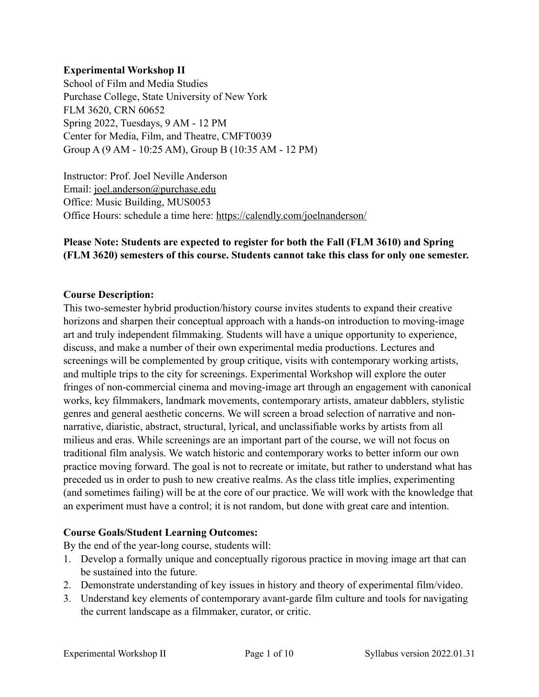#### **Experimental Workshop II**

School of Film and Media Studies Purchase College, State University of New York FLM 3620, CRN 60652 Spring 2022, Tuesdays, 9 AM - 12 PM Center for Media, Film, and Theatre, CMFT0039 Group A (9 AM - 10:25 AM), Group B (10:35 AM - 12 PM)

Instructor: Prof. Joel Neville Anderson Email: [joel.anderson@purchase.edu](mailto:joel.anderson@purchase.edu) Office: Music Building, MUS0053 Office Hours: schedule a time here: <https://calendly.com/joelnanderson/>

### **Please Note: Students are expected to register for both the Fall (FLM 3610) and Spring (FLM 3620) semesters of this course. Students cannot take this class for only one semester.**

#### **Course Description:**

This two-semester hybrid production/history course invites students to expand their creative horizons and sharpen their conceptual approach with a hands-on introduction to moving-image art and truly independent filmmaking. Students will have a unique opportunity to experience, discuss, and make a number of their own experimental media productions. Lectures and screenings will be complemented by group critique, visits with contemporary working artists, and multiple trips to the city for screenings. Experimental Workshop will explore the outer fringes of non-commercial cinema and moving-image art through an engagement with canonical works, key filmmakers, landmark movements, contemporary artists, amateur dabblers, stylistic genres and general aesthetic concerns. We will screen a broad selection of narrative and nonnarrative, diaristic, abstract, structural, lyrical, and unclassifiable works by artists from all milieus and eras. While screenings are an important part of the course, we will not focus on traditional film analysis. We watch historic and contemporary works to better inform our own practice moving forward. The goal is not to recreate or imitate, but rather to understand what has preceded us in order to push to new creative realms. As the class title implies, experimenting (and sometimes failing) will be at the core of our practice. We will work with the knowledge that an experiment must have a control; it is not random, but done with great care and intention.

#### **Course Goals/Student Learning Outcomes:**

By the end of the year-long course, students will:

- 1. Develop a formally unique and conceptually rigorous practice in moving image art that can be sustained into the future.
- 2. Demonstrate understanding of key issues in history and theory of experimental film/video.
- 3. Understand key elements of contemporary avant-garde film culture and tools for navigating the current landscape as a filmmaker, curator, or critic.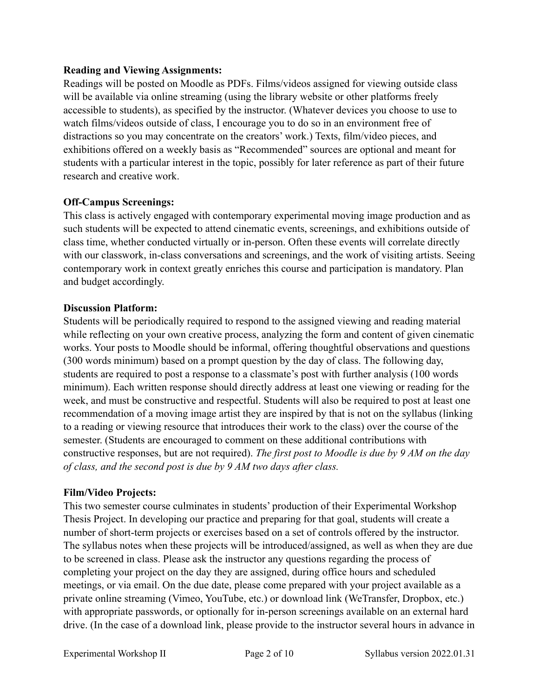### **Reading and Viewing Assignments:**

Readings will be posted on Moodle as PDFs. Films/videos assigned for viewing outside class will be available via online streaming (using the library website or other platforms freely accessible to students), as specified by the instructor. (Whatever devices you choose to use to watch films/videos outside of class, I encourage you to do so in an environment free of distractions so you may concentrate on the creators' work.) Texts, film/video pieces, and exhibitions offered on a weekly basis as "Recommended" sources are optional and meant for students with a particular interest in the topic, possibly for later reference as part of their future research and creative work.

## **Off-Campus Screenings:**

This class is actively engaged with contemporary experimental moving image production and as such students will be expected to attend cinematic events, screenings, and exhibitions outside of class time, whether conducted virtually or in-person. Often these events will correlate directly with our classwork, in-class conversations and screenings, and the work of visiting artists. Seeing contemporary work in context greatly enriches this course and participation is mandatory. Plan and budget accordingly.

### **Discussion Platform:**

Students will be periodically required to respond to the assigned viewing and reading material while reflecting on your own creative process, analyzing the form and content of given cinematic works. Your posts to Moodle should be informal, offering thoughtful observations and questions (300 words minimum) based on a prompt question by the day of class. The following day, students are required to post a response to a classmate's post with further analysis (100 words minimum). Each written response should directly address at least one viewing or reading for the week, and must be constructive and respectful. Students will also be required to post at least one recommendation of a moving image artist they are inspired by that is not on the syllabus (linking to a reading or viewing resource that introduces their work to the class) over the course of the semester. (Students are encouraged to comment on these additional contributions with constructive responses, but are not required). *The first post to Moodle is due by 9 AM on the day of class, and the second post is due by 9 AM two days after class.*

### **Film/Video Projects:**

This two semester course culminates in students' production of their Experimental Workshop Thesis Project. In developing our practice and preparing for that goal, students will create a number of short-term projects or exercises based on a set of controls offered by the instructor. The syllabus notes when these projects will be introduced/assigned, as well as when they are due to be screened in class. Please ask the instructor any questions regarding the process of completing your project on the day they are assigned, during office hours and scheduled meetings, or via email. On the due date, please come prepared with your project available as a private online streaming (Vimeo, YouTube, etc.) or download link (WeTransfer, Dropbox, etc.) with appropriate passwords, or optionally for in-person screenings available on an external hard drive. (In the case of a download link, please provide to the instructor several hours in advance in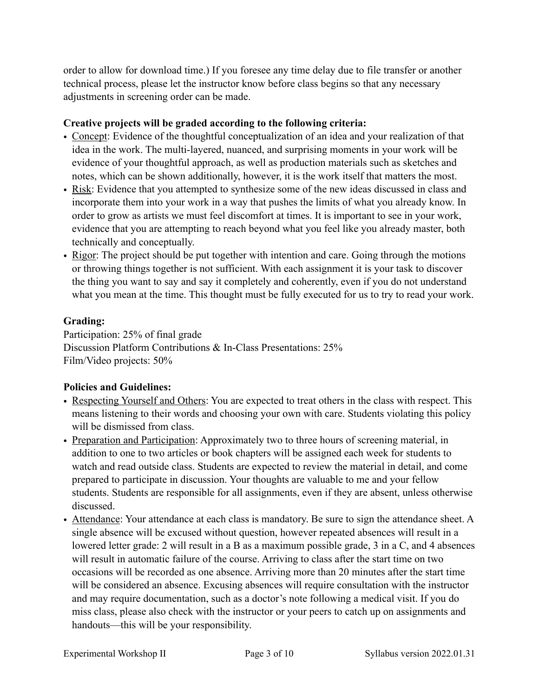order to allow for download time.) If you foresee any time delay due to file transfer or another technical process, please let the instructor know before class begins so that any necessary adjustments in screening order can be made.

## **Creative projects will be graded according to the following criteria:**

- Concept: Evidence of the thoughtful conceptualization of an idea and your realization of that idea in the work. The multi-layered, nuanced, and surprising moments in your work will be evidence of your thoughtful approach, as well as production materials such as sketches and notes, which can be shown additionally, however, it is the work itself that matters the most.
- Risk: Evidence that you attempted to synthesize some of the new ideas discussed in class and incorporate them into your work in a way that pushes the limits of what you already know. In order to grow as artists we must feel discomfort at times. It is important to see in your work, evidence that you are attempting to reach beyond what you feel like you already master, both technically and conceptually.
- Rigor: The project should be put together with intention and care. Going through the motions or throwing things together is not sufficient. With each assignment it is your task to discover the thing you want to say and say it completely and coherently, even if you do not understand what you mean at the time. This thought must be fully executed for us to try to read your work.

### **Grading:**

Participation: 25% of final grade Discussion Platform Contributions & In-Class Presentations: 25% Film/Video projects: 50%

## **Policies and Guidelines:**

- Respecting Yourself and Others: You are expected to treat others in the class with respect. This means listening to their words and choosing your own with care. Students violating this policy will be dismissed from class.
- Preparation and Participation: Approximately two to three hours of screening material, in addition to one to two articles or book chapters will be assigned each week for students to watch and read outside class. Students are expected to review the material in detail, and come prepared to participate in discussion. Your thoughts are valuable to me and your fellow students. Students are responsible for all assignments, even if they are absent, unless otherwise discussed.
- Attendance: Your attendance at each class is mandatory. Be sure to sign the attendance sheet. A single absence will be excused without question, however repeated absences will result in a lowered letter grade: 2 will result in a B as a maximum possible grade, 3 in a C, and 4 absences will result in automatic failure of the course. Arriving to class after the start time on two occasions will be recorded as one absence. Arriving more than 20 minutes after the start time will be considered an absence. Excusing absences will require consultation with the instructor and may require documentation, such as a doctor's note following a medical visit. If you do miss class, please also check with the instructor or your peers to catch up on assignments and handouts—this will be your responsibility.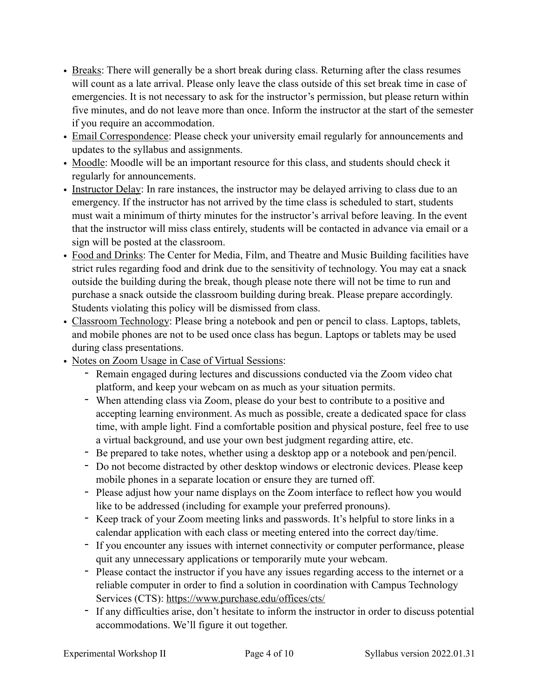- Breaks: There will generally be a short break during class. Returning after the class resumes will count as a late arrival. Please only leave the class outside of this set break time in case of emergencies. It is not necessary to ask for the instructor's permission, but please return within five minutes, and do not leave more than once. Inform the instructor at the start of the semester if you require an accommodation.
- Email Correspondence: Please check your university email regularly for announcements and updates to the syllabus and assignments.
- Moodle: Moodle will be an important resource for this class, and students should check it regularly for announcements.
- Instructor Delay: In rare instances, the instructor may be delayed arriving to class due to an emergency. If the instructor has not arrived by the time class is scheduled to start, students must wait a minimum of thirty minutes for the instructor's arrival before leaving. In the event that the instructor will miss class entirely, students will be contacted in advance via email or a sign will be posted at the classroom.
- Food and Drinks: The Center for Media, Film, and Theatre and Music Building facilities have strict rules regarding food and drink due to the sensitivity of technology. You may eat a snack outside the building during the break, though please note there will not be time to run and purchase a snack outside the classroom building during break. Please prepare accordingly. Students violating this policy will be dismissed from class.
- Classroom Technology: Please bring a notebook and pen or pencil to class. Laptops, tablets, and mobile phones are not to be used once class has begun. Laptops or tablets may be used during class presentations.
- Notes on Zoom Usage in Case of Virtual Sessions:
	- Remain engaged during lectures and discussions conducted via the Zoom video chat platform, and keep your webcam on as much as your situation permits.
	- When attending class via Zoom, please do your best to contribute to a positive and accepting learning environment. As much as possible, create a dedicated space for class time, with ample light. Find a comfortable position and physical posture, feel free to use a virtual background, and use your own best judgment regarding attire, etc.
	- Be prepared to take notes, whether using a desktop app or a notebook and pen/pencil.
	- Do not become distracted by other desktop windows or electronic devices. Please keep mobile phones in a separate location or ensure they are turned off.
	- Please adjust how your name displays on the Zoom interface to reflect how you would like to be addressed (including for example your preferred pronouns).
	- Keep track of your Zoom meeting links and passwords. It's helpful to store links in a calendar application with each class or meeting entered into the correct day/time.
	- If you encounter any issues with internet connectivity or computer performance, please quit any unnecessary applications or temporarily mute your webcam.
	- Please contact the instructor if you have any issues regarding access to the internet or a reliable computer in order to find a solution in coordination with Campus Technology Services (CTS):<https://www.purchase.edu/offices/cts/>
	- If any difficulties arise, don't hesitate to inform the instructor in order to discuss potential accommodations. We'll figure it out together.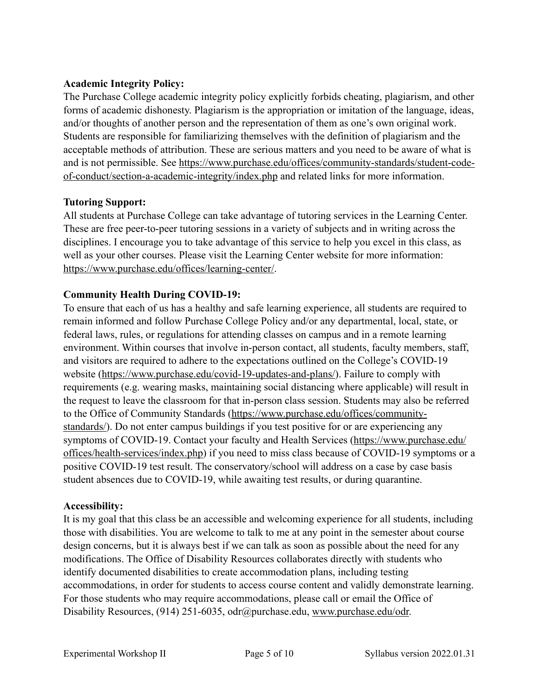### **Academic Integrity Policy:**

The Purchase College academic integrity policy explicitly forbids cheating, plagiarism, and other forms of academic dishonesty. Plagiarism is the appropriation or imitation of the language, ideas, and/or thoughts of another person and the representation of them as one's own original work. Students are responsible for familiarizing themselves with the definition of plagiarism and the acceptable methods of attribution. These are serious matters and you need to be aware of what is and is not permissible. See [https://www.purchase.edu/offices/community-standards/student-code](https://www.purchase.edu/offices/community-standards/student-code-of-conduct/section-a-academic-integrity/index.php)[of-conduct/section-a-academic-integrity/index.php](https://www.purchase.edu/offices/community-standards/student-code-of-conduct/section-a-academic-integrity/index.php) and related links for more information.

## **Tutoring Support:**

All students at Purchase College can take advantage of tutoring services in the Learning Center. These are free peer-to-peer tutoring sessions in a variety of subjects and in writing across the disciplines. I encourage you to take advantage of this service to help you excel in this class, as well as your other courses. Please visit the Learning Center website for more information: [https://www.purchase.edu/offices/learning-center/.](https://www.purchase.edu/offices/learning-center/)

## **Community Health During COVID-19:**

To ensure that each of us has a healthy and safe learning experience, all students are required to remain informed and follow Purchase College Policy and/or any departmental, local, state, or federal laws, rules, or regulations for attending classes on campus and in a remote learning environment. Within courses that involve in-person contact, all students, faculty members, staff, and visitors are required to adhere to the expectations outlined on the College's COVID-19 website ([https://www.purchase.edu/covid-19-updates-and-plans/\)](https://www.purchase.edu/covid-19-updates-and-plans/). Failure to comply with requirements (e.g. wearing masks, maintaining social distancing where applicable) will result in the request to leave the classroom for that in-person class session. Students may also be referred to the Office of Community Standards [\(https://www.purchase.edu/offices/community](https://www.purchase.edu/offices/community-standards/)[standards/\)](https://www.purchase.edu/offices/community-standards/). Do not enter campus buildings if you test positive for or are experiencing any symptoms of COVID-19. Contact your faculty and Health Services ([https://www.purchase.edu/](https://www.purchase.edu/offices/health-services/index.php) [offices/health-services/index.php\)](https://www.purchase.edu/offices/health-services/index.php) if you need to miss class because of COVID-19 symptoms or a positive COVID-19 test result. The conservatory/school will address on a case by case basis student absences due to COVID-19, while awaiting test results, or during quarantine.

### **Accessibility:**

It is my goal that this class be an accessible and welcoming experience for all students, including those with disabilities. You are welcome to talk to me at any point in the semester about course design concerns, but it is always best if we can talk as soon as possible about the need for any modifications. The Office of Disability Resources collaborates directly with students who identify documented disabilities to create accommodation plans, including testing accommodations, in order for students to access course content and validly demonstrate learning. For those students who may require accommodations, please call or email the Office of Disability Resources, (914) 251-6035, odr@purchase.edu, [www.purchase.edu/odr.](http://www.purchase.edu/odr)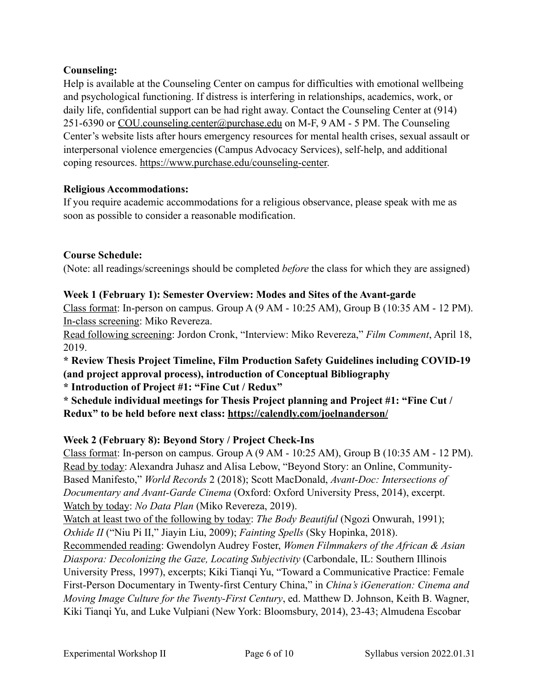## **Counseling:**

Help is available at the Counseling Center on campus for difficulties with emotional wellbeing and psychological functioning. If distress is interfering in relationships, academics, work, or daily life, confidential support can be had right away. Contact the Counseling Center at (914) 251-6390 or [COU.counseling.center@purchase.edu](mailto:COU.counseling.center@purchase.edu) on M-F, 9 AM - 5 PM. The Counseling Center's website lists after hours emergency resources for mental health crises, sexual assault or interpersonal violence emergencies (Campus Advocacy Services), self-help, and additional coping resources. [https://www.purchase.edu/counseling-center.](https://www.purchase.edu/counseling-center)

#### **Religious Accommodations:**

If you require academic accommodations for a religious observance, please speak with me as soon as possible to consider a reasonable modification.

### **Course Schedule:**

(Note: all readings/screenings should be completed *before* the class for which they are assigned)

## **Week 1 (February 1): Semester Overview: Modes and Sites of the Avant-garde**

Class format: In-person on campus. Group A (9 AM - 10:25 AM), Group B (10:35 AM - 12 PM). In-class screening: Miko Revereza.

Read following screening: Jordon Cronk, "Interview: Miko Revereza," *Film Comment*, April 18, 2019.

**\* Review Thesis Project Timeline, Film Production Safety Guidelines including COVID-19 (and project approval process), introduction of Conceptual Bibliography**

**\* Introduction of Project #1: "Fine Cut / Redux"**

**\* Schedule individual meetings for Thesis Project planning and Project #1: "Fine Cut / Redux" to be held before next class: <https://calendly.com/joelnanderson/>**

## **Week 2 (February 8): Beyond Story / Project Check-Ins**

Class format: In-person on campus. Group A (9 AM - 10:25 AM), Group B (10:35 AM - 12 PM). Read by today: Alexandra Juhasz and Alisa Lebow, "Beyond Story: an Online, Community-Based Manifesto," *World Records* 2 (2018); Scott MacDonald, *Avant-Doc: Intersections of Documentary and Avant-Garde Cinema* (Oxford: Oxford University Press, 2014), excerpt. Watch by today: *No Data Plan* (Miko Revereza, 2019).

Watch at least two of the following by today: *The Body Beautiful* (Ngozi Onwurah, 1991); *Oxhide II* ("Niu Pi II," Jiayin Liu, 2009); *Fainting Spells* (Sky Hopinka, 2018).

Recommended reading: Gwendolyn Audrey Foster, *Women Filmmakers of the African & Asian Diaspora: Decolonizing the Gaze, Locating Subjectivity* (Carbondale, IL: Southern Illinois University Press, 1997), excerpts; Kiki Tianqi Yu, "Toward a Communicative Practice: Female First-Person Documentary in Twenty-first Century China," in *China's iGeneration: Cinema and Moving Image Culture for the Twenty-First Century*, ed. Matthew D. Johnson, Keith B. Wagner, Kiki Tianqi Yu, and Luke Vulpiani (New York: Bloomsbury, 2014), 23-43; Almudena Escobar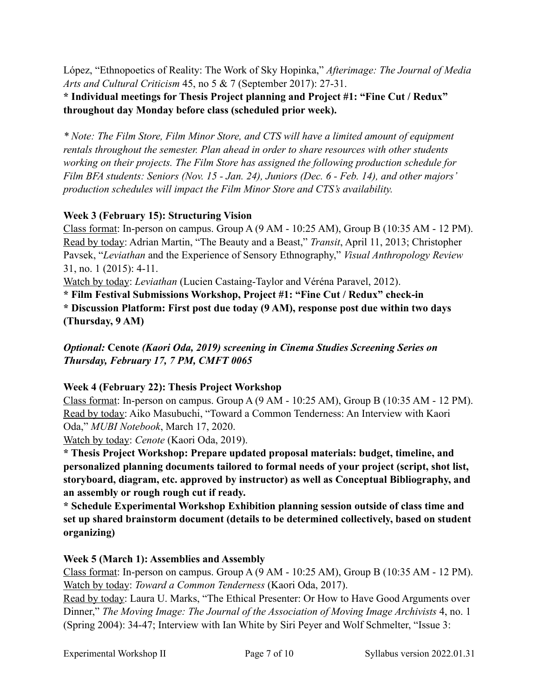López, "Ethnopoetics of Reality: The Work of Sky Hopinka," *Afterimage: The Journal of Media Arts and Cultural Criticism* 45, no 5 & 7 (September 2017): 27-31.

**\* Individual meetings for Thesis Project planning and Project #1: "Fine Cut / Redux" throughout day Monday before class (scheduled prior week).**

*\* Note: The Film Store, Film Minor Store, and CTS will have a limited amount of equipment rentals throughout the semester. Plan ahead in order to share resources with other students working on their projects. The Film Store has assigned the following production schedule for Film BFA students: Seniors (Nov. 15 - Jan. 24), Juniors (Dec. 6 - Feb. 14), and other majors' production schedules will impact the Film Minor Store and CTS's availability.*

## **Week 3 (February 15): Structuring Vision**

Class format: In-person on campus. Group A (9 AM - 10:25 AM), Group B (10:35 AM - 12 PM). Read by today: Adrian Martin, "The Beauty and a Beast," *Transit*, April 11, 2013; Christopher Pavsek, "*Leviathan* and the Experience of Sensory Ethnography," *Visual Anthropology Review* 31, no. 1 (2015): 4-11.

Watch by today: *Leviathan* (Lucien Castaing-Taylor and Véréna Paravel, 2012).

**\* Film Festival Submissions Workshop, Project #1: "Fine Cut / Redux" check-in \* Discussion Platform: First post due today (9 AM), response post due within two days (Thursday, 9 AM)**

*Optional:* **Cenote** *(Kaori Oda, 2019) screening in Cinema Studies Screening Series on Thursday, February 17, 7 PM, CMFT 0065*

## **Week 4 (February 22): Thesis Project Workshop**

Class format: In-person on campus. Group A (9 AM - 10:25 AM), Group B (10:35 AM - 12 PM). Read by today: Aiko Masubuchi, "Toward a Common Tenderness: An Interview with Kaori Oda," *MUBI Notebook*, March 17, 2020.

Watch by today: *Cenote* (Kaori Oda, 2019).

**\* Thesis Project Workshop: Prepare updated proposal materials: budget, timeline, and personalized planning documents tailored to formal needs of your project (script, shot list, storyboard, diagram, etc. approved by instructor) as well as Conceptual Bibliography, and an assembly or rough rough cut if ready.**

**\* Schedule Experimental Workshop Exhibition planning session outside of class time and set up shared brainstorm document (details to be determined collectively, based on student organizing)**

## **Week 5 (March 1): Assemblies and Assembly**

Class format: In-person on campus. Group A (9 AM - 10:25 AM), Group B (10:35 AM - 12 PM). Watch by today: *Toward a Common Tenderness* (Kaori Oda, 2017).

Read by today: Laura U. Marks, "The Ethical Presenter: Or How to Have Good Arguments over Dinner," *The Moving Image: The Journal of the Association of Moving Image Archivists* 4, no. 1 (Spring 2004): 34-47; Interview with Ian White by Siri Peyer and Wolf Schmelter, "Issue 3: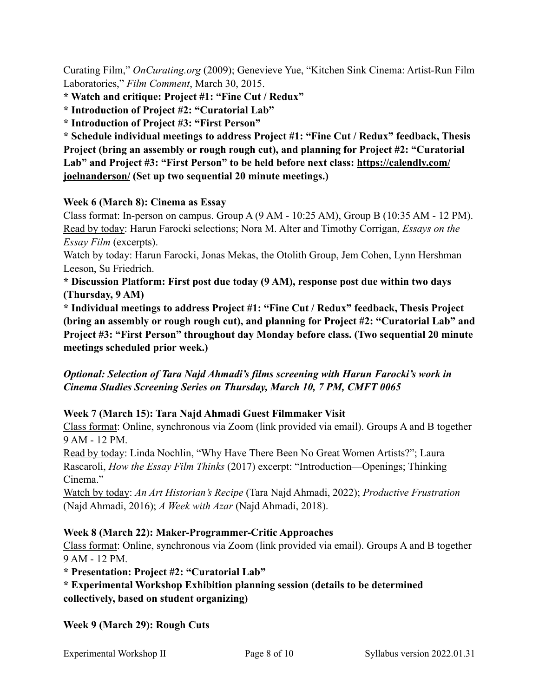Curating Film," *OnCurating.org* (2009); Genevieve Yue, "Kitchen Sink Cinema: Artist-Run Film Laboratories," *Film Comment*, March 30, 2015.

**\* Watch and critique: Project #1: "Fine Cut / Redux"**

**\* Introduction of Project #2: "Curatorial Lab"**

**\* Introduction of Project #3: "First Person"**

**\* Schedule individual meetings to address Project #1: "Fine Cut / Redux" feedback, Thesis Project (bring an assembly or rough rough cut), and planning for Project #2: "Curatorial Lab" and Project #3: "First Person" to be held before next class: [https://calendly.com/](https://calendly.com/joelnanderson/) [joelnanderson/](https://calendly.com/joelnanderson/) (Set up two sequential 20 minute meetings.)**

## **Week 6 (March 8): Cinema as Essay**

Class format: In-person on campus. Group A (9 AM - 10:25 AM), Group B (10:35 AM - 12 PM). Read by today: Harun Farocki selections; Nora M. Alter and Timothy Corrigan, *Essays on the Essay Film* (excerpts).

Watch by today: Harun Farocki, Jonas Mekas, the Otolith Group, Jem Cohen, Lynn Hershman Leeson, Su Friedrich.

**\* Discussion Platform: First post due today (9 AM), response post due within two days (Thursday, 9 AM)**

**\* Individual meetings to address Project #1: "Fine Cut / Redux" feedback, Thesis Project (bring an assembly or rough rough cut), and planning for Project #2: "Curatorial Lab" and Project #3: "First Person" throughout day Monday before class. (Two sequential 20 minute meetings scheduled prior week.)**

*Optional: Selection of Tara Najd Ahmadi's films screening with Harun Farocki's work in Cinema Studies Screening Series on Thursday, March 10, 7 PM, CMFT 0065*

## **Week 7 (March 15): Tara Najd Ahmadi Guest Filmmaker Visit**

Class format: Online, synchronous via Zoom (link provided via email). Groups A and B together 9 AM - 12 PM.

Read by today: Linda Nochlin, "Why Have There Been No Great Women Artists?"; Laura Rascaroli, *How the Essay Film Thinks* (2017) excerpt: "Introduction—Openings; Thinking Cinema."

Watch by today: *An Art Historian's Recipe* (Tara Najd Ahmadi, 2022); *Productive Frustration* (Najd Ahmadi, 2016); *A Week with Azar* (Najd Ahmadi, 2018).

### **Week 8 (March 22): Maker-Programmer-Critic Approaches**

Class format: Online, synchronous via Zoom (link provided via email). Groups A and B together 9 AM - 12 PM.

**\* Presentation: Project #2: "Curatorial Lab"**

## **\* Experimental Workshop Exhibition planning session (details to be determined collectively, based on student organizing)**

### **Week 9 (March 29): Rough Cuts**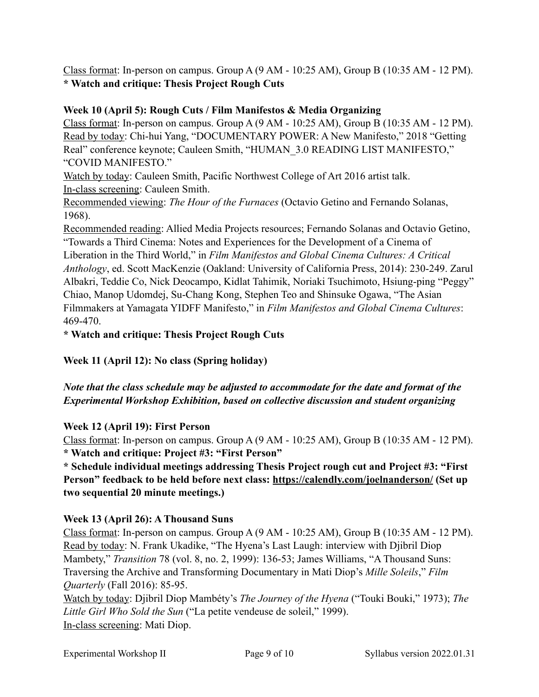Class format: In-person on campus. Group A (9 AM - 10:25 AM), Group B (10:35 AM - 12 PM). **\* Watch and critique: Thesis Project Rough Cuts**

## **Week 10 (April 5): Rough Cuts / Film Manifestos & Media Organizing**

Class format: In-person on campus. Group A (9 AM - 10:25 AM), Group B (10:35 AM - 12 PM). Read by today: Chi-hui Yang, "DOCUMENTARY POWER: A New Manifesto," 2018 "Getting Real" conference keynote; Cauleen Smith, "HUMAN\_3.0 READING LIST MANIFESTO," "COVID MANIFESTO."

Watch by today: Cauleen Smith, Pacific Northwest College of Art 2016 artist talk. In-class screening: Cauleen Smith.

Recommended viewing: *The Hour of the Furnaces* (Octavio Getino and Fernando Solanas, 1968).

Recommended reading: Allied Media Projects resources; Fernando Solanas and Octavio Getino, "Towards a Third Cinema: Notes and Experiences for the Development of a Cinema of Liberation in the Third World," in *Film Manifestos and Global Cinema Cultures: A Critical Anthology*, ed. Scott MacKenzie (Oakland: University of California Press, 2014): 230-249. Zarul Albakri, Teddie Co, Nick Deocampo, Kidlat Tahimik, Noriaki Tsuchimoto, Hsiung-ping "Peggy" Chiao, Manop Udomdej, Su-Chang Kong, Stephen Teo and Shinsuke Ogawa, "The Asian Filmmakers at Yamagata YIDFF Manifesto," in *Film Manifestos and Global Cinema Cultures*: 469-470.

**\* Watch and critique: Thesis Project Rough Cuts**

**Week 11 (April 12): No class (Spring holiday)** 

## *Note that the class schedule may be adjusted to accommodate for the date and format of the Experimental Workshop Exhibition, based on collective discussion and student organizing*

# **Week 12 (April 19): First Person**

Class format: In-person on campus. Group A (9 AM - 10:25 AM), Group B (10:35 AM - 12 PM). **\* Watch and critique: Project #3: "First Person"**

**\* Schedule individual meetings addressing Thesis Project rough cut and Project #3: "First Person" feedback to be held before next class: <https://calendly.com/joelnanderson/> (Set up two sequential 20 minute meetings.)**

# **Week 13 (April 26): A Thousand Suns**

Class format: In-person on campus. Group A (9 AM - 10:25 AM), Group B (10:35 AM - 12 PM). Read by today: N. Frank Ukadike, "The Hyena's Last Laugh: interview with Djibril Diop Mambety," *Transition* 78 (vol. 8, no. 2, 1999): 136-53; James Williams, "A Thousand Suns: Traversing the Archive and Transforming Documentary in Mati Diop's *Mille Soleils*," *Film Quarterly* (Fall 2016): 85-95.

Watch by today: Djibril Diop Mambéty's *The Journey of the Hyena* ("Touki Bouki," 1973); *The Little Girl Who Sold the Sun* ("La petite vendeuse de soleil," 1999). In-class screening: Mati Diop.